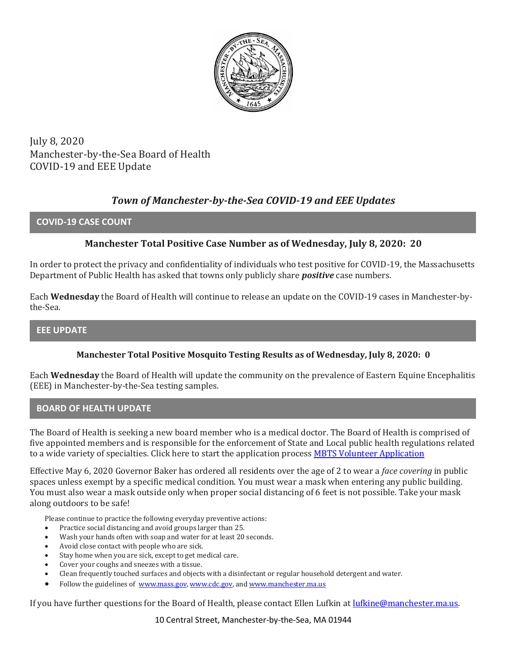

July 8, 2020 Manchester-by-the-Sea Board of Health COVID-19 and EEE Update

# *Town of Manchester-by-the-Sea COVID-19 and EEE Updates*

### **COVID-19 CASE COUNT**

## **Manchester Total Positive Case Number as of Wednesday, July 8, 2020: 20**

In order to protect the privacy and confidentiality of individuals who test positive for COVID-19, the Massachusetts Department of Public Health has asked that towns only publicly share *positive* case numbers.

Each **Wednesday** the Board of Health will continue to release an update on the COVID-19 cases in Manchester-bythe-Sea.

### **EEE UPDATE**

### **Manchester Total Positive Mosquito Testing Results as of Wednesday, July 8, 2020: 0**

Each **Wednesday** the Board of Health will update the community on the prevalence of Eastern Equine Encephalitis (EEE) in Manchester-by-the-Sea testing samples.

### **BOARD OF HEALTH UPDATE**

The Board of Health is seeking a new board member who is a medical doctor. The Board of Health is comprised of five appointed members and is responsible for the enforcement of State and Local public health regulations related to a wide variety of specialties. Click here to start the application process [MBTS Volunteer Application](http://manchester.ma.us/FormCenter/Board-of-Selectmen-13/Town-Committee-Volunteer-Application-55)

Effective May 6, 2020 Governor Baker has ordered all residents over the age of 2 to wear a *face covering* in public spaces unless exempt by a specific medical condition. You must wear a mask when entering any public building. You must also wear a mask outside only when proper social distancing of 6 feet is not possible. Take your mask along outdoors to be safe!

Please continue to practice the following everyday preventive actions:

- Practice social distancing and avoid groups larger than 25.
- Wash your hands often with soap and water for at least 20 seconds.
- Avoid close contact with people who are sick.
- Stay home when you are sick, except to get medical care.
- Cover your coughs and sneezes with a tissue.
- Clean frequently touched surfaces and objects with a disinfectant or regular household detergent and water.
- Follow the guidelines of [www.mass.gov,](https://www.mass.gov/) [www.cdc.gov,](https://www.cdc.gov/) an[d www.manchester.ma.us](http://www.manchester.ma.us/)

If you have further questions for the Board of Health, please contact Ellen Lufkin at [lufkine@manchester.ma.us.](mailto:lufkine@manchester.ma.us)

10 Central Street, Manchester-by-the-Sea, MA 01944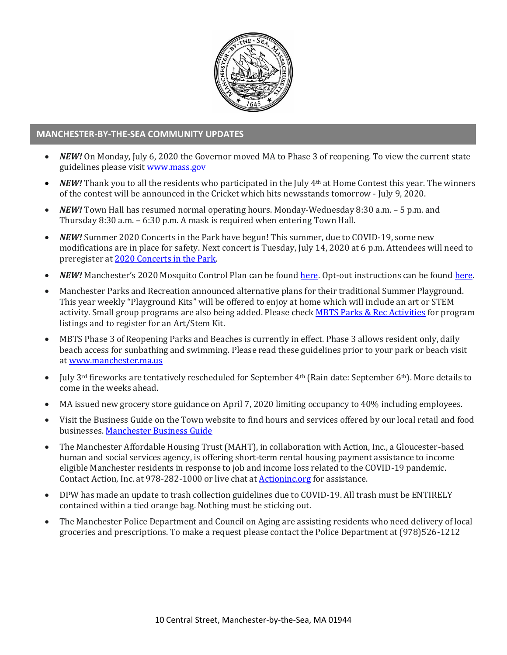

### **MANCHESTER-BY-THE-SEA COMMUNITY UPDATES**

- *NEW!* On Monday, July 6, 2020 the Governor moved MA to Phase 3 of reopening. To view the current state guidelines please visi[t www.mass.gov](http://www.mass.gov/)
- *NEW!* Thank you to all the residents who participated in the July 4th at Home Contest this year. The winners of the contest will be announced in the Cricket which hits newsstands tomorrow - July 9, 2020.
- *NEW!* Town Hall has resumed normal operating hours. Monday-Wednesday 8:30 a.m. 5 p.m. and Thursday 8:30 a.m. – 6:30 p.m. A mask is required when entering Town Hall.
- *NEW!* Summer 2020 Concerts in the Park have begun! This summer, due to COVID-19, some new modifications are in place for safety. Next concert is Tuesday, July 14, 2020 at 6 p.m. Attendees will need to preregister a[t 2020 Concerts in the Park.](https://manchesterma.myrec.com/info/activities/program_details.aspx?ProgramID=29989)
- *NEW!* Manchester's 2020 Mosquito Control Plan can be found [here.](https://www.nemassmosquito.org/home/pages/manchester-sea) Opt-out instructions can be foun[d here.](http://manchester.ma.us/DocumentCenter/View/3214/2020-Process-To-Exclude-Property-From-Mosquito-Spraying)
- Manchester Parks and Recreation announced alternative plans for their traditional Summer Playground. This year weekly "Playground Kits" will be offered to enjoy at home which will include an art or STEM activity. Small group programs are also being added. Please check [MBTS Parks & Rec Activities](https://manchesterma.myrec.com/info/activities/default.aspx?fbclid=IwAR3EVpOJXh_pzI5BuSgeRvYPy-WS7Dqu-DvOPh7vJ5rxyQkcxo5INDqSkBU) for program listings and to register for an Art/Stem Kit.
- MBTS Phase 3 of Reopening Parks and Beaches is currently in effect. Phase 3 allows resident only, daily beach access for sunbathing and swimming. Please read these guidelines prior to your park or beach visit a[t www.manchester.ma.us](http://manchester.ma.us/)
- July 3rd fireworks are tentatively rescheduled for September 4th (Rain date: September 6th). More details to come in the weeks ahead.
- MA issued new grocery store guidance on April 7, 2020 limiting occupancy to 40% including employees.
- Visit the Business Guide on the Town website to find hours and services offered by our local retail and food businesses[. Manchester Business Guide](http://manchester.ma.us/728/Business)
- The Manchester Affordable Housing Trust (MAHT), in collaboration with Action, Inc., a Gloucester-based human and social services agency, is offering short-term rental housing payment assistance to income eligible Manchester residents in response to job and income loss related to the COVID-19 pandemic. Contact Action, Inc. at 978-282-1000 or live chat at [Actioninc.org](https://actioninc.org/) for assistance.
- DPW has made an update to trash collection guidelines due to COVID-19. All trash must be ENTIRELY contained within a tied orange bag. Nothing must be sticking out.
- The Manchester Police Department and Council on Aging are assisting residents who need delivery of local groceries and prescriptions. To make a request please contact the Police Department at (978)526-1212